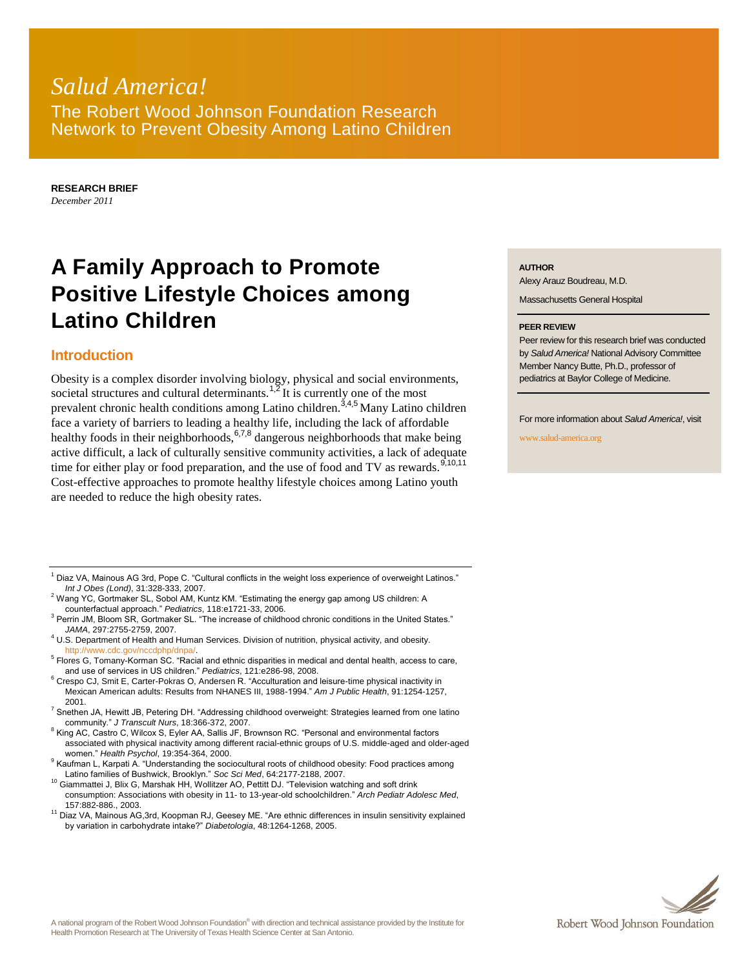## *Salud America!* The Robert Wood Johnson Foundation Research Network to Prevent Obesity Among Latino Children

**RESEARCH BRIEF** *December 2011*

# **A Family Approach to Promote Positive Lifestyle Choices among Latino Children**

### **Introduction**

Obesity is a complex disorder involving biology, physical and social environments, societal structures and cultural determinants.<sup>1,2</sup> It is currently one of the most prevalent chronic health conditions among Latino children.<sup>3,4,5</sup> Many Latino children face a variety of barriers to leading a healthy life, including the lack of affordable healthy foods in their neighborhoods, 6,7,8 dangerous neighborhoods that make being active difficult, a lack of culturally sensitive community activities, a lack of adequate time for either play or food preparation, and the use of food and TV as rewards.  $9,10,11$ Cost-effective approaches to promote healthy lifestyle choices among Latino youth are needed to reduce the high obesity rates.

#### **AUTHOR**

Alexy Arauz Boudreau, M.D.

Massachusetts General Hospital

#### **PEER REVIEW**

Peer review for this research brief was conducted by *Salud America!* National Advisory Committee Member Nancy Butte, Ph.D., professor of pediatrics at Baylor College of Medicine.

For more information about *Salud America!*, visit

www.salud-america.org

- $1$  Diaz VA, Mainous AG 3rd, Pope C. "Cultural conflicts in the weight loss experience of overweight Latinos." *Int J Obes (Lond)*, 31:328-333, 2007.
- <sup>2</sup> Wang YC, Gortmaker SL, Sobol AM, Kuntz KM. "Estimating the energy gap among US children: A counterfactual approach." *Pediatrics*, 118:e1721-33, 2006.
- <sup>3</sup> Perrin JM, Bloom SR, Gortmaker SL. "The increase of childhood chronic conditions in the United States." *JAMA*, 297:2755-2759, 2007.
- <sup>4</sup> U.S. Department of Health and Human Services. Division of nutrition, physical activity, and obesity. http://www.cdc.gov/nccdphp/dnp
- <sup>5</sup> Flores G, Tomany-Korman SC. "Racial and ethnic disparities in medical and dental health, access to care, and use of services in US children." *Pediatrics*, 121:e286-98, 2008.
- <sup>6</sup> Crespo CJ, Smit E, Carter-Pokras O, Andersen R. "Acculturation and leisure-time physical inactivity in Mexican American adults: Results from NHANES III, 1988-1994." *Am J Public Health*, 91:1254-1257, 2001.
- $7$  Snethen JA, Hewitt JB, Petering DH. "Addressing childhood overweight: Strategies learned from one latino community." *J Transcult Nurs*, 18:366-372, 2007.
- <sup>8</sup> King AC, Castro C, Wilcox S, Eyler AA, Sallis JF, Brownson RC. "Personal and environmental factors associated with physical inactivity among different racial-ethnic groups of U.S. middle-aged and older-aged women." *Health Psychol*, 19:354-364, 2000.
- <sup>9</sup> Kaufman L, Karpati A. "Understanding the sociocultural roots of childhood obesity: Food practices among Latino families of Bushwick, Brooklyn." *Soc Sci Med*, 64:2177-2188, 2007.
- <sup>10</sup> Giammattei J, Blix G, Marshak HH, Wollitzer AO, Pettitt DJ. "Television watching and soft drink consumption: Associations with obesity in 11- to 13-year-old schoolchildren." *Arch Pediatr Adolesc Med*, 157:882-886., 2003.
- <sup>11</sup> Diaz VA, Mainous AG,3rd, Koopman RJ, Geesey ME. "Are ethnic differences in insulin sensitivity explained by variation in carbohydrate intake?" *Diabetologia*, 48:1264-1268, 2005.

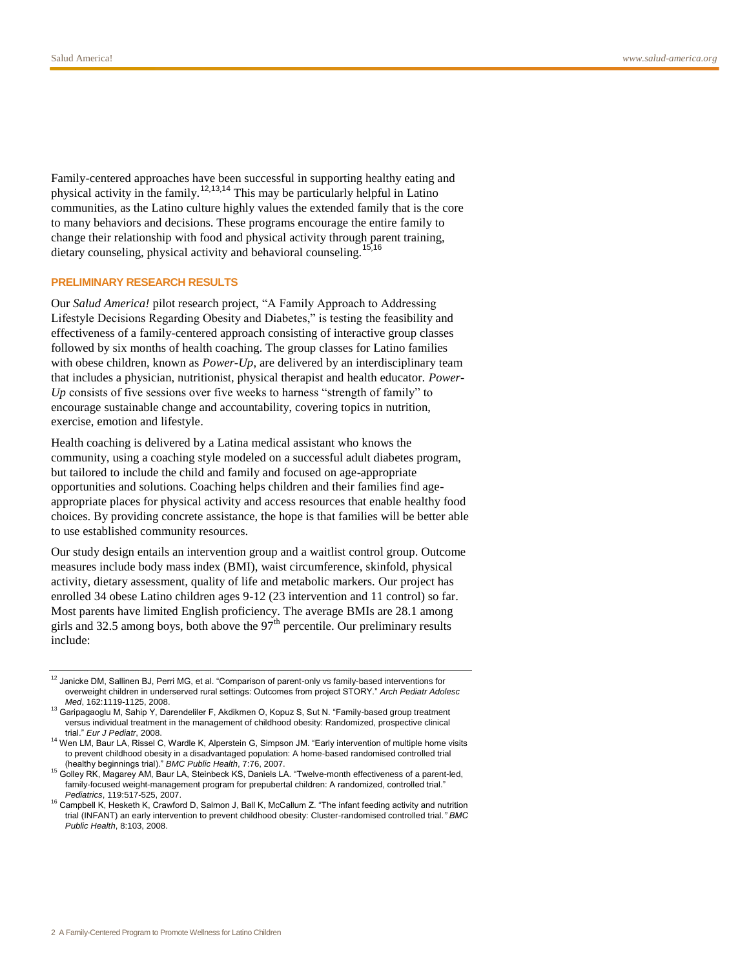Family-centered approaches have been successful in supporting healthy eating and physical activity in the family.<sup>12,13,14</sup> This may be particularly helpful in Latino communities, as the Latino culture highly values the extended family that is the core to many behaviors and decisions. These programs encourage the entire family to change their relationship with food and physical activity through parent training, dietary counseling, physical activity and behavioral counseling.<sup>15,16</sup>

#### **PRELIMINARY RESEARCH RESULTS**

Our *Salud America!* pilot research project, "A Family Approach to Addressing Lifestyle Decisions Regarding Obesity and Diabetes," is testing the feasibility and effectiveness of a family-centered approach consisting of interactive group classes followed by six months of health coaching. The group classes for Latino families with obese children, known as *Power-Up*, are delivered by an interdisciplinary team that includes a physician, nutritionist, physical therapist and health educator. *Power-Up* consists of five sessions over five weeks to harness "strength of family" to encourage sustainable change and accountability, covering topics in nutrition, exercise, emotion and lifestyle.

Health coaching is delivered by a Latina medical assistant who knows the community, using a coaching style modeled on a successful adult diabetes program, but tailored to include the child and family and focused on age-appropriate opportunities and solutions. Coaching helps children and their families find ageappropriate places for physical activity and access resources that enable healthy food choices. By providing concrete assistance, the hope is that families will be better able to use established community resources.

Our study design entails an intervention group and a waitlist control group. Outcome measures include body mass index (BMI), waist circumference, skinfold, physical activity, dietary assessment, quality of life and metabolic markers. Our project has enrolled 34 obese Latino children ages 9-12 (23 intervention and 11 control) so far. Most parents have limited English proficiency. The average BMIs are 28.1 among girls and 32.5 among boys, both above the  $97<sup>th</sup>$  percentile. Our preliminary results include:

<sup>&</sup>lt;sup>12</sup> Janicke DM, Sallinen BJ, Perri MG, et al. "Comparison of parent-only vs family-based interventions for overweight children in underserved rural settings: Outcomes from project STORY." *Arch Pediatr Adolesc Med*, 162:1119-1125, 2008.

<sup>13</sup> Garipagaoglu M, Sahip Y, Darendeliler F, Akdikmen O, Kopuz S, Sut N. "Family-based group treatment versus individual treatment in the management of childhood obesity: Randomized, prospective clinical trial." *Eur J Pediatr*, 2008.

<sup>&</sup>lt;sup>14</sup> Wen LM, Baur LA, Rissel C, Wardle K, Alperstein G, Simpson JM. "Early intervention of multiple home visits to prevent childhood obesity in a disadvantaged population: A home-based randomised controlled trial (healthy beginnings trial)." *BMC Public Health*, 7:76, 2007.

<sup>15</sup> Golley RK, Magarey AM, Baur LA, Steinbeck KS, Daniels LA. "Twelve-month effectiveness of a parent-led, family-focused weight-management program for prepubertal children: A randomized, controlled trial." *Pediatrics*, 119:517-525, 2007.

<sup>&</sup>lt;sup>16</sup> Campbell K, Hesketh K, Crawford D, Salmon J, Ball K, McCallum Z. "The infant feeding activity and nutrition trial (INFANT) an early intervention to prevent childhood obesity: Cluster-randomised controlled trial*." BMC Public Health*, 8:103, 2008.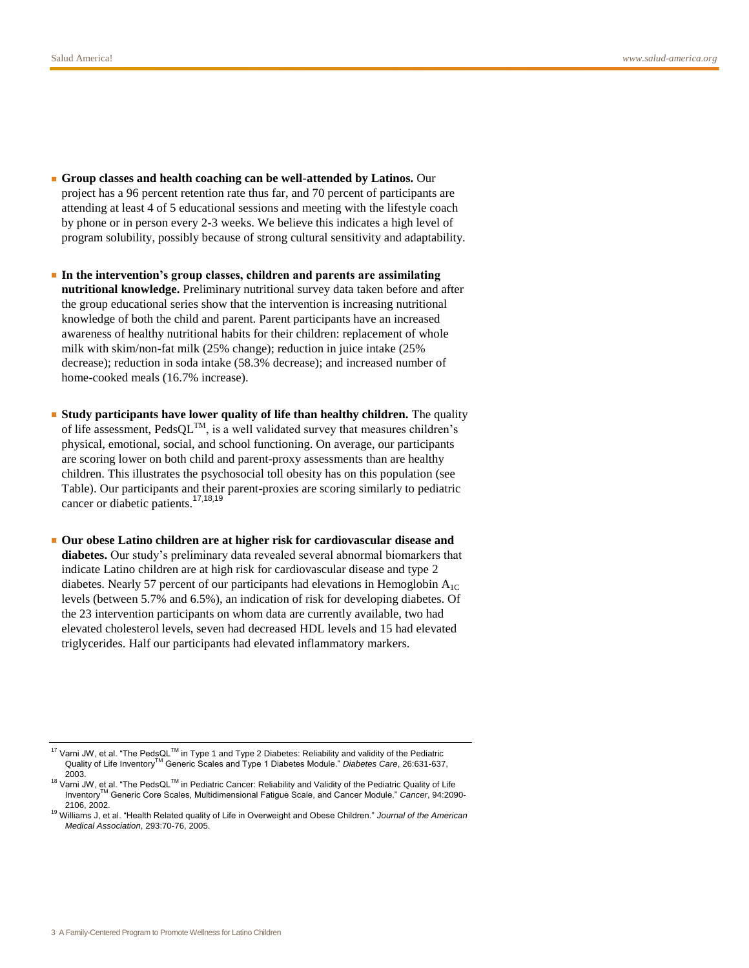- **Group classes and health coaching can be well-attended by Latinos.** Our project has a 96 percent retention rate thus far, and 70 percent of participants are attending at least 4 of 5 educational sessions and meeting with the lifestyle coach by phone or in person every 2-3 weeks. We believe this indicates a high level of program solubility, possibly because of strong cultural sensitivity and adaptability.
- **In the intervention's group classes, children and parents are assimilating nutritional knowledge.** Preliminary nutritional survey data taken before and after the group educational series show that the intervention is increasing nutritional knowledge of both the child and parent. Parent participants have an increased awareness of healthy nutritional habits for their children: replacement of whole milk with skim/non-fat milk (25% change); reduction in juice intake (25% decrease); reduction in soda intake (58.3% decrease); and increased number of home-cooked meals (16.7% increase).
- **Study participants have lower quality of life than healthy children.** The quality of life assessment,  $\text{PedsQL}^{TM}$ , is a well validated survey that measures children's physical, emotional, social, and school functioning. On average, our participants are scoring lower on both child and parent-proxy assessments than are healthy children. This illustrates the psychosocial toll obesity has on this population (see Table). Our participants and their parent-proxies are scoring similarly to pediatric cancer or diabetic patients.<sup>17,18,19</sup>
- **Our obese Latino children are at higher risk for cardiovascular disease and diabetes.** Our study's preliminary data revealed several abnormal biomarkers that indicate Latino children are at high risk for cardiovascular disease and type 2 diabetes. Nearly 57 percent of our participants had elevations in Hemoglobin  $A_{1C}$ levels (between 5.7% and 6.5%), an indication of risk for developing diabetes. Of the 23 intervention participants on whom data are currently available, two had elevated cholesterol levels, seven had decreased HDL levels and 15 had elevated triglycerides. Half our participants had elevated inflammatory markers.

<sup>17</sup> Varni JW, et al. "The PedsQL<sup>TM</sup> in Type 1 and Type 2 Diabetes: Reliability and validity of the Pediatric Quality of Life InventoryTM Generic Scales and Type 1 Diabetes Module." *Diabetes Care*, 26:631-637, 2003.

 $18$  Varni JW, et al. "The PedsQL<sup>TM</sup> in Pediatric Cancer: Reliability and Validity of the Pediatric Quality of Life InventoryTM Generic Core Scales, Multidimensional Fatigue Scale, and Cancer Module." *Cancer*, 94:2090- 2106, 2002.

<sup>19</sup> Williams J, et al. "Health Related quality of Life in Overweight and Obese Children." *Journal of the American Medical Association*, 293:70-76, 2005.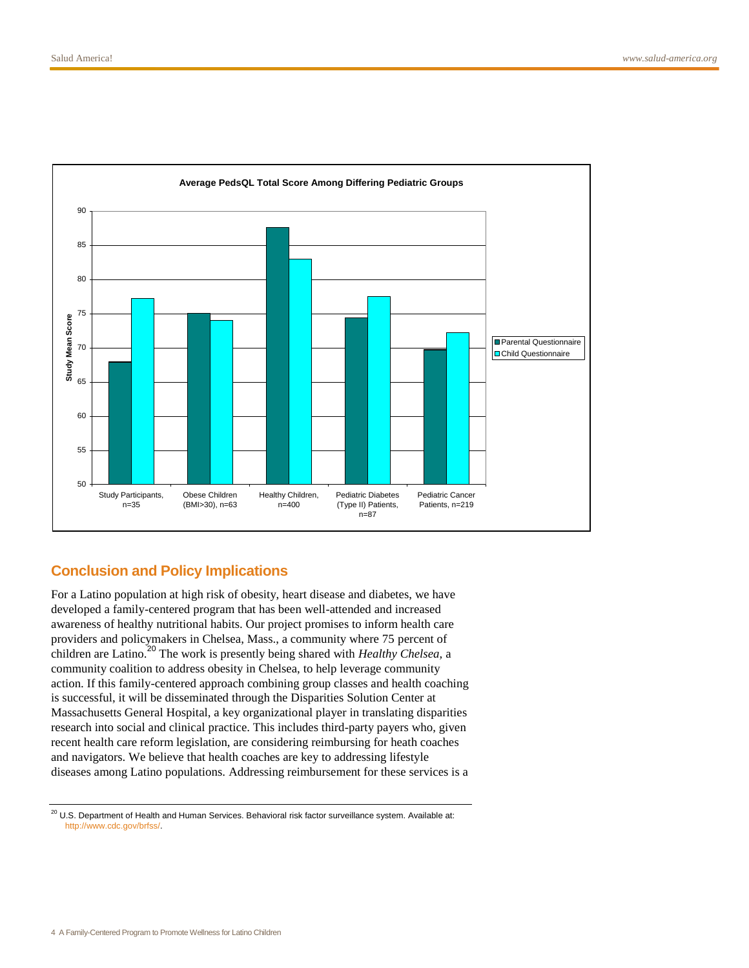

## **Conclusion and Policy Implications**

For a Latino population at high risk of obesity, heart disease and diabetes, we have developed a family-centered program that has been well-attended and increased awareness of healthy nutritional habits. Our project promises to inform health care providers and policymakers in Chelsea, Mass., a community where 75 percent of children are Latino.<sup>20</sup> The work is presently being shared with *Healthy Chelsea,* a community coalition to address obesity in Chelsea, to help leverage community action. If this family-centered approach combining group classes and health coaching is successful, it will be disseminated through the Disparities Solution Center at Massachusetts General Hospital, a key organizational player in translating disparities research into social and clinical practice. This includes third-party payers who, given recent health care reform legislation, are considering reimbursing for heath coaches and navigators. We believe that health coaches are key to addressing lifestyle diseases among Latino populations. Addressing reimbursement for these services is a

 $20$  U.S. Department of Health and Human Services. Behavioral risk factor surveillance system. Available at: [http://www.cdc.gov/brfss/.](http://www.cdc.gov/brfss/)